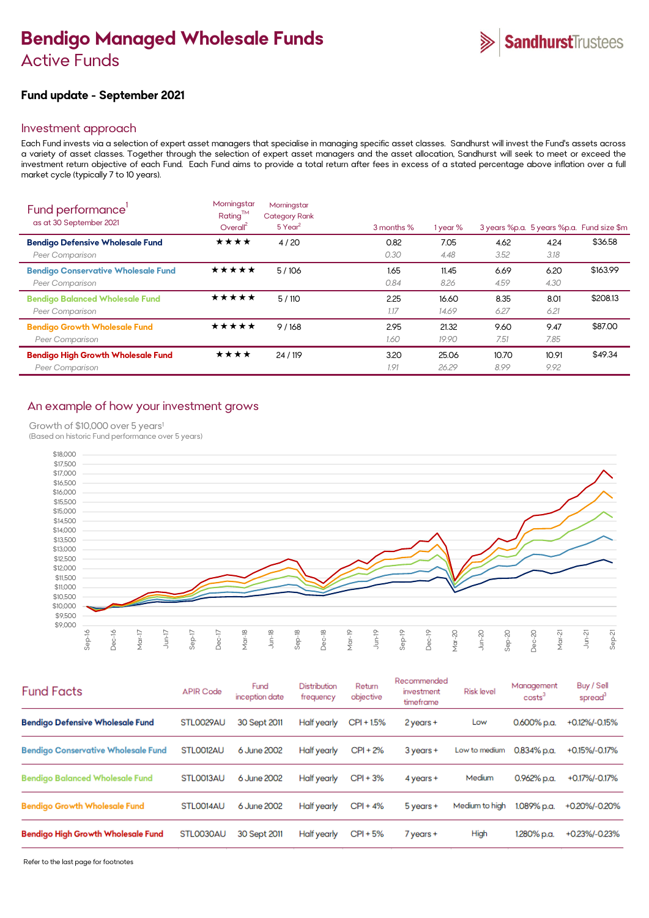# **Bendigo Managed Wholesale Funds**  Active Funds

## **Fund update - September 2021**

## Investment approach

Each Fund invests via a selection of expert asset managers that specialise in managing specific asset classes. Sandhurst will invest the Fund's assets across a variety of asset classes. Together through the selection of expert asset managers and the asset allocation, Sandhurst will seek to meet or exceed the investment return objective of each Fund. Each Fund aims to provide a total return after fees in excess of a stated percentage above inflation over a full market cycle (typically 7 to 10 years).

| Fund performance'<br>as at 30 September 2021                         | Morningstar<br>Rating™<br>Overall <sup>2</sup> | Morningstar<br><b>Category Rank</b><br>5 Year <sup>2</sup> | 3 months %   | 1 year %       |               |               | 3 years %p.a. 5 years %p.a. Fund size \$m |
|----------------------------------------------------------------------|------------------------------------------------|------------------------------------------------------------|--------------|----------------|---------------|---------------|-------------------------------------------|
| <b>Bendigo Defensive Wholesale Fund</b><br>Peer Comparison           | ★★★★                                           | 4/20                                                       | 0.82<br>0.30 | 7.05<br>4.48   | 4.62<br>3.52  | 4.24<br>3.18  | \$36.58                                   |
| <b>Bendigo Conservative Wholesale Fund</b><br><b>Peer Comparison</b> | *****                                          | 5/106                                                      | 1.65<br>0.84 | 11.45<br>8.26  | 6.69<br>4.59  | 6.20<br>4.30  | \$163.99                                  |
| <b>Bendigo Balanced Wholesale Fund</b><br>Peer Comparison            | ★★★★★                                          | 5/110                                                      | 2.25<br>1.17 | 16.60<br>14.69 | 8.35<br>6.27  | 8.01<br>6.21  | \$208.13                                  |
| <b>Bendigo Growth Wholesale Fund</b><br>Peer Comparison              | ★★★★★                                          | 9/168                                                      | 2.95<br>1.60 | 21.32<br>19.90 | 9.60<br>7.51  | 9.47<br>7.85  | \$87.00                                   |
| <b>Bendigo High Growth Wholesale Fund</b><br>Peer Comparison         | ★★★★                                           | 24 / 119                                                   | 3.20<br>1.91 | 25.06<br>26.29 | 10.70<br>8.99 | 10.91<br>9.92 | \$49.34                                   |

## An example of how your investment grows

Growth of \$10,000 over 5 years<sup>1</sup>

(Based on historic Fund performance over 5 years)



| <b>Fund Facts</b>                          | <b>APIR Code</b> | Fund<br>inception date | Distribution<br>frequency | Return<br>objective | Recommended<br>investment<br>timeframe | <b>Risk level</b> | Management<br>costs | Buy / Sell<br>spread |
|--------------------------------------------|------------------|------------------------|---------------------------|---------------------|----------------------------------------|-------------------|---------------------|----------------------|
| <b>Bendigo Defensive Wholesale Fund</b>    | STL0029AU        | 30 Sept 2011           | Half yearly               | CPI + 1.5%          | 2 years +                              | Low               | 0.600% p.a.         | +0.12%/-0.15%        |
| <b>Bendigo Conservative Wholesale Fund</b> | STLO012AU        | 6 June 2002            | Half yearly               | CPI + 2%            | 3 years +                              | Low to medium     | 0.834% p.a.         | +0.15%/-0.17%        |
| <b>Bendigo Balanced Wholesale Fund</b>     | STLO013AU        | 6 June 2002            | Half yearly               | $CPI + 3%$          | $4$ years $+$                          | Medium            | 0.962% p.a.         | +0.17%/-0.17%        |
| <b>Bendigo Growth Wholesale Fund</b>       | STLO014AU        | 6 June 2002            | Half yearly               | $CPI + 4%$          | 5 years +                              | Medium to high    | 1.089% p.a.         | +0.20%/-0.20%        |
| <b>Bendigo High Growth Wholesale Fund</b>  | STL0030AU        | 30 Sept 2011           | Half yearly               | CPI + 5%            | $7$ years $+$                          | High              | 1.280% p.a.         | +0.23%/-0.23%        |

Refer to the last page for footnotes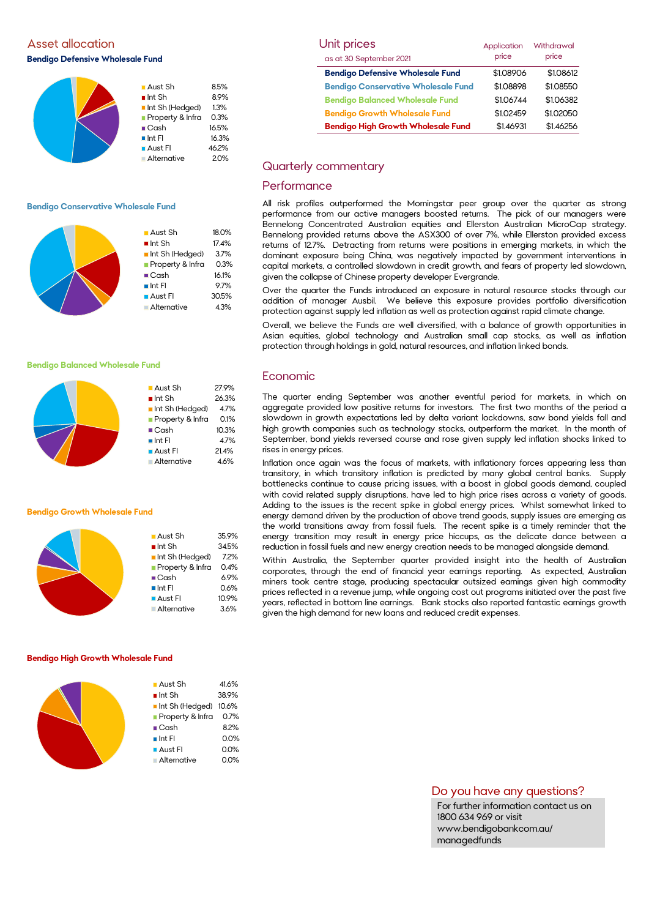Asset allocation **Bendigo Defensive Wholesale Fund** 



### **Bendigo Conservative Wholesale Fund**



**Aust Sh** 27.9%  $\blacksquare$  Int Sh 26.3% Int Sh (Hedged) 4.7% **Property & Infra** 0.1% ■ Cash 10.3%  $\blacksquare$  Int FI 4.7% ■ Aust FI 21.4% Alternative 4.6%

#### **Bendigo Balanced Wholesale Fund**

#### **Bendigo Growth Wholesale Fund**

| ■ Aust Sh              | 35.9% |
|------------------------|-------|
| $\blacksquare$ Int Sh  | 34.5% |
| Int Sh (Hedged)        | 7.2%  |
| Property & Infra       | 0.4%  |
| $\blacksquare$ Cash    | 6.9%  |
| $\blacksquare$ Int FI  | 0.6%  |
| $\blacksquare$ Aust FI | 10.9% |
| <b>Alternative</b>     | 3.6%  |
|                        |       |

#### **Bendigo High Growth Wholesale Fund**

| $\blacksquare$ Aust Sh | 41.6% |
|------------------------|-------|
| $\blacksquare$ Int Sh  | 38.9% |
| Int Sh (Hedged) 10.6%  |       |
| Property & Infra 0.7%  |       |
| $\blacksquare$ Cash    | 8.2%  |
| $\blacksquare$ Int Fl  | 0.0%  |
| <b>Aust Fl</b>         | 0.0%  |
| Alternative            | 0.0%  |
|                        |       |

| Unit prices                                | Application | Withdrawal |
|--------------------------------------------|-------------|------------|
| as at 30 September 2021                    | price       | price      |
| <b>Bendigo Defensive Wholesale Fund</b>    | \$1.08906   | \$1.08612  |
| <b>Bendigo Conservative Wholesale Fund</b> | \$1.08898   | \$1.08550  |
| <b>Bendigo Balanced Wholesale Fund</b>     | \$1.06744   | \$1.06382  |
| <b>Bendigo Growth Wholesale Fund</b>       | \$1.02459   | \$1.02050  |
| <b>Bendigo High Growth Wholesale Fund</b>  | \$1.46931   | \$1.46256  |

## Quarterly commentary

## **Performance**

All risk profiles outperformed the Morningstar peer group over the quarter as strong performance from our active managers boosted returns. The pick of our managers were Bennelong Concentrated Australian equities and Ellerston Australian MicroCap strategy. Bennelong provided returns above the ASX300 of over 7%, while Ellerston provided excess returns of 12.7%. Detracting from returns were positions in emerging markets, in which the dominant exposure being China, was negatively impacted by government interventions in capital markets, a controlled slowdown in credit growth, and fears of property led slowdown, given the collapse of Chinese property developer Evergrande.

Over the quarter the Funds introduced an exposure in natural resource stocks through our addition of manager Ausbil. We believe this exposure provides portfolio diversification protection against supply led inflation as well as protection against rapid climate change.

Overall, we believe the Funds are well diversified, with a balance of growth opportunities in Asian equities, global technology and Australian small cap stocks, as well as inflation protection through holdings in gold, natural resources, and inflation linked bonds.

## Economic

The quarter ending September was another eventful period for markets, in which on aggregate provided low positive returns for investors. The first two months of the period a slowdown in growth expectations led by delta variant lockdowns, saw bond yields fall and high growth companies such as technology stocks, outperform the market. In the month of September, bond yields reversed course and rose given supply led inflation shocks linked to rises in energy prices.

Inflation once again was the focus of markets, with inflationary forces appearing less than transitory, in which transitory inflation is predicted by many global central banks. Supply bottlenecks continue to cause pricing issues, with a boost in global goods demand, coupled with covid related supply disruptions, have led to high price rises across a variety of goods. Adding to the issues is the recent spike in global energy prices. Whilst somewhat linked to energy demand driven by the production of above trend goods, supply issues are emerging as the world transitions away from fossil fuels. The recent spike is a timely reminder that the energy transition may result in energy price hiccups, as the delicate dance between a reduction in fossil fuels and new energy creation needs to be managed alongside demand.

Within Australia, the September quarter provided insight into the health of Australian corporates, through the end of financial year earnings reporting. As expected, Australian miners took centre stage, producing spectacular outsized earnings given high commodity prices reflected in a revenue jump, while ongoing cost out programs initiated over the past five years, reflected in bottom line earnings. Bank stocks also reported fantastic earnings growth given the high demand for new loans and reduced credit expenses.

## Do you have any questions?

For further information contact us on 1800 634 969 or visit www.bendigobankcom.au/ managedfunds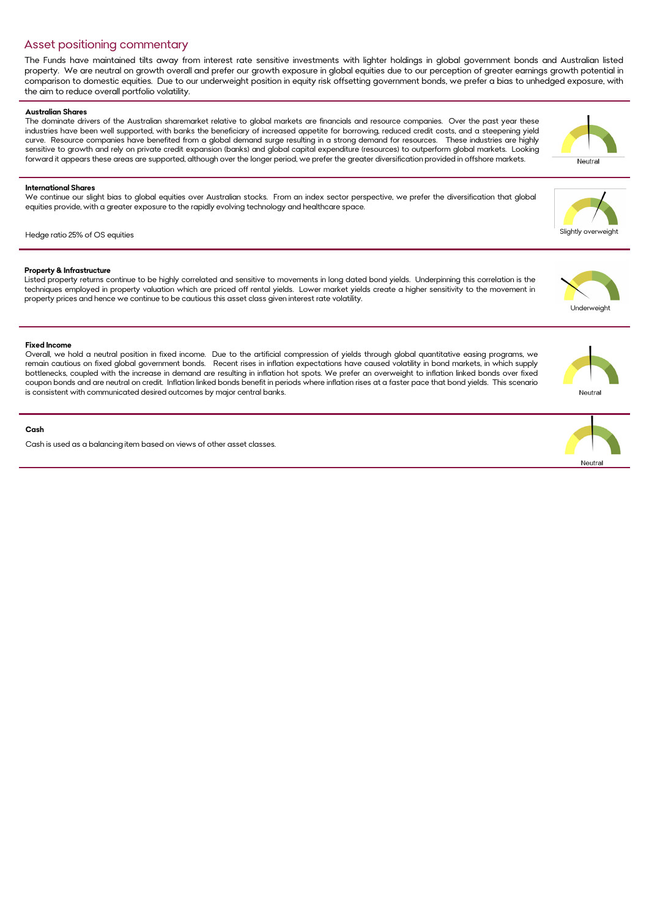## Asset positioning commentary

The Funds have maintained tilts away from interest rate sensitive investments with lighter holdings in global government bonds and Australian listed property. We are neutral on growth overall and prefer our growth exposure in global equities due to our perception of greater earnings growth potential in comparison to domestic equities. Due to our underweight position in equity risk offsetting government bonds, we prefer a bias to unhedged exposure, with the aim to reduce overall portfolio volatility.

## **Australian Shares**

The dominate drivers of the Australian sharemarket relative to global markets are financials and resource companies. Over the past year these industries have been well supported, with banks the beneficiary of increased appetite for borrowing, reduced credit costs, and a steepening yield curve. Resource companies have benefited from a global demand surge resulting in a strong demand for resources. These industries are highly sensitive to growth and rely on private credit expansion (banks) and global capital expenditure (resources) to outperform global markets. Looking forward it appears these areas are supported, although over the longer period, we prefer the greater diversification provided in offshore markets.

## **International Shares**

We continue our slight bias to global equities over Australian stocks. From an index sector perspective, we prefer the diversification that global equities provide, with a greater exposure to the rapidly evolving technology and healthcare space.

## Hedge ratio 25% of OS equities

## **Property & Infrastructure**

Listed property returns continue to be highly correlated and sensitive to movements in long dated bond yields. Underpinning this correlation is the techniques employed in property valuation which are priced off rental yields. Lower market yields create a higher sensitivity to the movement in property prices and hence we continue to be cautious this asset class given interest rate volatility.

### **Fixed Income**

Overall, we hold a neutral position in fixed income. Due to the artificial compression of yields through global quantitative easing programs, we remain cautious on fixed global government bonds. Recent rises in inflation expectations have caused volatility in bond markets, in which supply bottlenecks, coupled with the increase in demand are resulting in inflation hot spots. We prefer an overweight to inflation linked bonds over fixed coupon bonds and are neutral on credit. Inflation linked bonds benefit in periods where inflation rises at a faster pace that bond yields. This scenario is consistent with communicated desired outcomes by major central banks.

### **Cash**

Cash is used as a balancing item based on views of other asset classes.





Neutral

Underweight





Slightly overweight